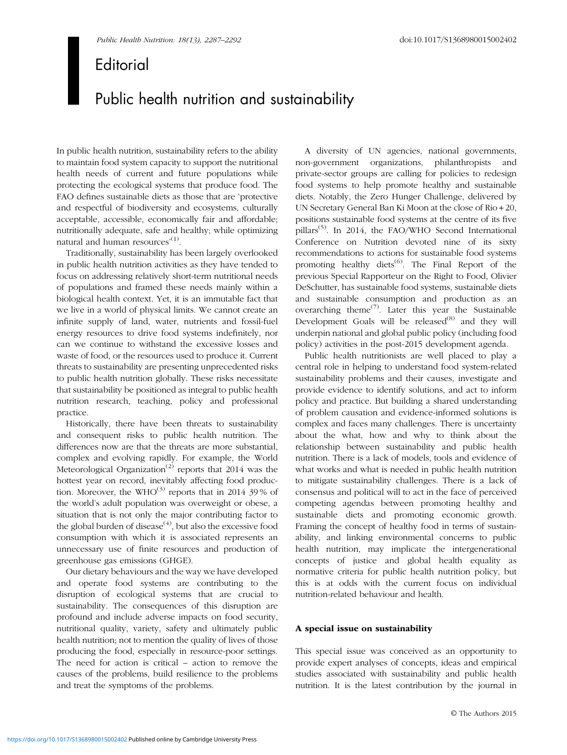## **Editorial**

# Public health nutrition and sustainability

In public health nutrition, sustainability refers to the ability to maintain food system capacity to support the nutritional health needs of current and future populations while protecting the ecological systems that produce food. The FAO defines sustainable diets as those that are 'protective and respectful of biodiversity and ecosystems, culturally acceptable, accessible, economically fair and affordable; nutritionally adequate, safe and healthy; while optimizing natural and human resources<sup>,[\(1\)](#page-5-0)</sup>.

Traditionally, sustainability has been largely overlooked in public health nutrition activities as they have tended to focus on addressing relatively short-term nutritional needs of populations and framed these needs mainly within a biological health context. Yet, it is an immutable fact that we live in a world of physical limits. We cannot create an infinite supply of land, water, nutrients and fossil-fuel energy resources to drive food systems indefinitely, nor can we continue to withstand the excessive losses and waste of food, or the resources used to produce it. Current threats to sustainability are presenting unprecedented risks to public health nutrition globally. These risks necessitate that sustainability be positioned as integral to public health nutrition research, teaching, policy and professional practice.

Historically, there have been threats to sustainability and consequent risks to public health nutrition. The differences now are that the threats are more substantial, complex and evolving rapidly. For example, the World Meteorological Organization<sup>([2](#page-5-0))</sup> reports that 2014 was the hottest year on record, inevitably affecting food produc-tion. Moreover, the WHO<sup>[\(3\)](#page-5-0)</sup> reports that in 2014 39% of the world's adult population was overweight or obese, a situation that is not only the major contributing factor to the global burden of disease<sup> $(4)$ </sup>, but also the excessive food consumption with which it is associated represents an unnecessary use of finite resources and production of greenhouse gas emissions (GHGE).

Our dietary behaviours and the way we have developed and operate food systems are contributing to the disruption of ecological systems that are crucial to sustainability. The consequences of this disruption are profound and include adverse impacts on food security, nutritional quality, variety, safety and ultimately public health nutrition; not to mention the quality of lives of those producing the food, especially in resource-poor settings. The need for action is critical – action to remove the causes of the problems, build resilience to the problems and treat the symptoms of the problems.

A diversity of UN agencies, national governments, non-government organizations, philanthropists and private-sector groups are calling for policies to redesign food systems to help promote healthy and sustainable diets. Notably, the Zero Hunger Challenge, delivered by UN Secretary General Ban Ki Moon at the close of Rio + 20, positions sustainable food systems at the centre of its five pillars([5](#page-5-0)). In 2014, the FAO/WHO Second International Conference on Nutrition devoted nine of its sixty recommendations to actions for sustainable food systems promoting healthy diets<sup> $(6)$  $(6)$  $(6)$ </sup>. The Final Report of the previous Special Rapporteur on the Right to Food, Olivier DeSchutter, has sustainable food systems, sustainable diets and sustainable consumption and production as an overarching theme<sup>[\(7\)](#page-5-0)</sup>. Later this year the Sustainable Development Goals will be released $^{(8)}$  $^{(8)}$  $^{(8)}$  and they will underpin national and global public policy (including food policy) activities in the post-2015 development agenda.

Public health nutritionists are well placed to play a central role in helping to understand food system-related sustainability problems and their causes, investigate and provide evidence to identify solutions, and act to inform policy and practice. But building a shared understanding of problem causation and evidence-informed solutions is complex and faces many challenges. There is uncertainty about the what, how and why to think about the relationship between sustainability and public health nutrition. There is a lack of models, tools and evidence of what works and what is needed in public health nutrition to mitigate sustainability challenges. There is a lack of consensus and political will to act in the face of perceived competing agendas between promoting healthy and sustainable diets and promoting economic growth. Framing the concept of healthy food in terms of sustainability, and linking environmental concerns to public health nutrition, may implicate the intergenerational concepts of justice and global health equality as normative criteria for public health nutrition policy, but this is at odds with the current focus on individual nutrition-related behaviour and health.

## A special issue on sustainability

This special issue was conceived as an opportunity to provide expert analyses of concepts, ideas and empirical studies associated with sustainability and public health nutrition. It is the latest contribution by the journal in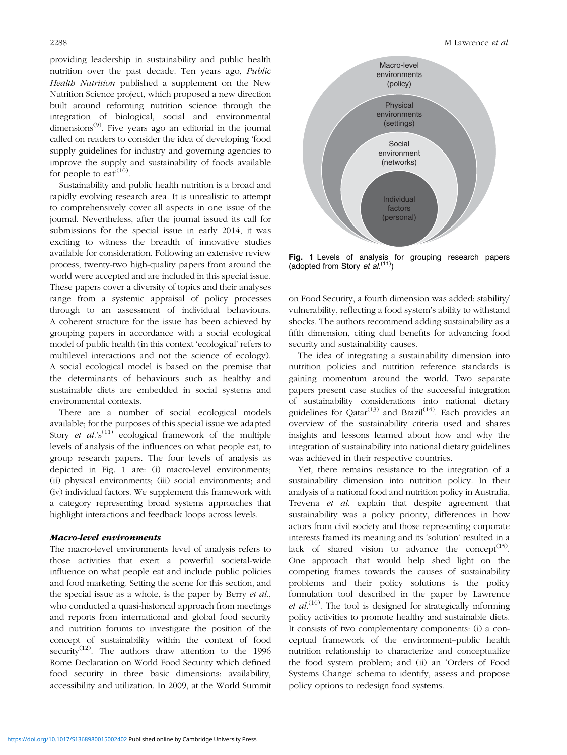providing leadership in sustainability and public health nutrition over the past decade. Ten years ago, Public Health Nutrition published a supplement on the New Nutrition Science project, which proposed a new direction built around reforming nutrition science through the integration of biological, social and environmental dimensions<sup>[\(9](#page-5-0))</sup>. Five years ago an editorial in the journal called on readers to consider the idea of developing 'food supply guidelines for industry and governing agencies to improve the supply and sustainability of foods available for people to eat<sup> $(10)$  $(10)$ </sup>.

Sustainability and public health nutrition is a broad and rapidly evolving research area. It is unrealistic to attempt to comprehensively cover all aspects in one issue of the journal. Nevertheless, after the journal issued its call for submissions for the special issue in early 2014, it was exciting to witness the breadth of innovative studies available for consideration. Following an extensive review process, twenty-two high-quality papers from around the world were accepted and are included in this special issue. These papers cover a diversity of topics and their analyses range from a systemic appraisal of policy processes through to an assessment of individual behaviours. A coherent structure for the issue has been achieved by grouping papers in accordance with a social ecological model of public health (in this context 'ecological' refers to multilevel interactions and not the science of ecology). A social ecological model is based on the premise that the determinants of behaviours such as healthy and sustainable diets are embedded in social systems and environmental contexts.

There are a number of social ecological models available; for the purposes of this special issue we adapted Story *et al.*' $s^{(11)}$  $s^{(11)}$  $s^{(11)}$  ecological framework of the multiple levels of analysis of the influences on what people eat, to group research papers. The four levels of analysis as depicted in Fig. 1 are: (i) macro-level environments; (ii) physical environments; (iii) social environments; and (iv) individual factors. We supplement this framework with a category representing broad systems approaches that highlight interactions and feedback loops across levels.

#### Macro-level environments

The macro-level environments level of analysis refers to those activities that exert a powerful societal-wide influence on what people eat and include public policies and food marketing. Setting the scene for this section, and the special issue as a whole, is the paper by Berry et al., who conducted a quasi-historical approach from meetings and reports from international and global food security and nutrition forums to investigate the position of the concept of sustainability within the context of food security<sup>([12\)](#page-5-0)</sup>. The authors draw attention to the 1996 Rome Declaration on World Food Security which defined food security in three basic dimensions: availability, accessibility and utilization. In 2009, at the World Summit



**Fig. 1** Levels of analysis for grouping research papers (adopted from Story *et al*.<sup>([11\)](#page-5-0)</sup>)

on Food Security, a fourth dimension was added: stability/ vulnerability, reflecting a food system's ability to withstand shocks. The authors recommend adding sustainability as a fifth dimension, citing dual benefits for advancing food security and sustainability causes.

The idea of integrating a sustainability dimension into nutrition policies and nutrition reference standards is gaining momentum around the world. Two separate papers present case studies of the successful integration of sustainability considerations into national dietary guidelines for Qatar<sup>([13\)](#page-5-0)</sup> and Brazil<sup>[\(14](#page-5-0))</sup>. Each provides an overview of the sustainability criteria used and shares insights and lessons learned about how and why the integration of sustainability into national dietary guidelines was achieved in their respective countries.

Yet, there remains resistance to the integration of a sustainability dimension into nutrition policy. In their analysis of a national food and nutrition policy in Australia, Trevena et al. explain that despite agreement that sustainability was a policy priority, differences in how actors from civil society and those representing corporate interests framed its meaning and its 'solution' resulted in a lack of shared vision to advance the concept<sup>([15\)](#page-5-0)</sup>. One approach that would help shed light on the competing frames towards the causes of sustainability problems and their policy solutions is the policy formulation tool described in the paper by Lawrence et  $al$ <sup>([16\)](#page-5-0)</sup>. The tool is designed for strategically informing policy activities to promote healthy and sustainable diets. It consists of two complementary components: (i) a conceptual framework of the environment–public health nutrition relationship to characterize and conceptualize the food system problem; and (ii) an 'Orders of Food Systems Change' schema to identify, assess and propose policy options to redesign food systems.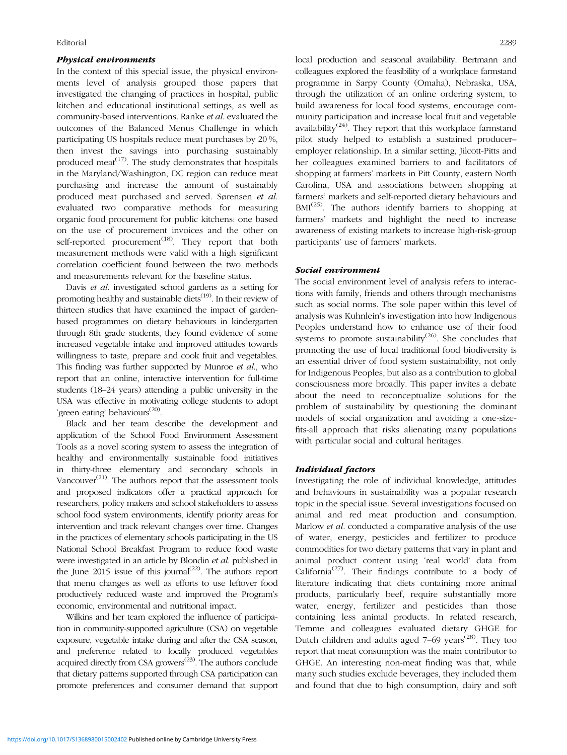#### Editorial 2289

#### Physical environments

In the context of this special issue, the physical environments level of analysis grouped those papers that investigated the changing of practices in hospital, public kitchen and educational institutional settings, as well as community-based interventions. Ranke et al. evaluated the outcomes of the Balanced Menus Challenge in which participating US hospitals reduce meat purchases by 20 %, then invest the savings into purchasing sustainably produced meat<sup> $(17)$ </sup>. The study demonstrates that hospitals in the Maryland/Washington, DC region can reduce meat purchasing and increase the amount of sustainably produced meat purchased and served. Sørensen et al. evaluated two comparative methods for measuring organic food procurement for public kitchens: one based on the use of procurement invoices and the other on self-reported procurement<sup> $(18)$  $(18)$ </sup>. They report that both measurement methods were valid with a high significant correlation coefficient found between the two methods and measurements relevant for the baseline status.

Davis et al. investigated school gardens as a setting for promoting healthy and sustainable diets<sup>[\(19\)](#page-5-0)</sup>. In their review of thirteen studies that have examined the impact of gardenbased programmes on dietary behaviours in kindergarten through 8th grade students, they found evidence of some increased vegetable intake and improved attitudes towards willingness to taste, prepare and cook fruit and vegetables. This finding was further supported by Munroe et al., who report that an online, interactive intervention for full-time students (18–24 years) attending a public university in the USA was effective in motivating college students to adopt 'green eating' behaviours<sup>[\(20\)](#page-5-0)</sup>.

Black and her team describe the development and application of the School Food Environment Assessment Tools as a novel scoring system to assess the integration of healthy and environmentally sustainable food initiatives in thirty-three elementary and secondary schools in Vancouver $^{(21)}$  $^{(21)}$  $^{(21)}$ . The authors report that the assessment tools and proposed indicators offer a practical approach for researchers, policy makers and school stakeholders to assess school food system environments, identify priority areas for intervention and track relevant changes over time. Changes in the practices of elementary schools participating in the US National School Breakfast Program to reduce food waste were investigated in an article by Blondin et al. published in the June 2015 issue of this journal<sup>[\(22](#page-5-0))</sup>. The authors report that menu changes as well as efforts to use leftover food productively reduced waste and improved the Program's economic, environmental and nutritional impact.

Wilkins and her team explored the influence of participation in community-supported agriculture (CSA) on vegetable exposure, vegetable intake during and after the CSA season, and preference related to locally produced vegetables acquired directly from CSA growers<sup>[\(23\)](#page-5-0)</sup>. The authors conclude that dietary patterns supported through CSA participation can promote preferences and consumer demand that support local production and seasonal availability. Bertmann and colleagues explored the feasibility of a workplace farmstand programme in Sarpy County (Omaha), Nebraska, USA, through the utilization of an online ordering system, to build awareness for local food systems, encourage community participation and increase local fruit and vegetable availability<sup> $(24)$  $(24)$ </sup>. They report that this workplace farmstand pilot study helped to establish a sustained producer– employer relationship. In a similar setting, Jilcott-Pitts and her colleagues examined barriers to and facilitators of shopping at farmers' markets in Pitt County, eastern North Carolina, USA and associations between shopping at farmers' markets and self-reported dietary behaviours and  $BMI^{(25)}$  $BMI^{(25)}$  $BMI^{(25)}$ . The authors identify barriers to shopping at farmers' markets and highlight the need to increase awareness of existing markets to increase high-risk-group participants' use of farmers' markets.

#### Social environment

The social environment level of analysis refers to interactions with family, friends and others through mechanisms such as social norms. The sole paper within this level of analysis was Kuhnlein's investigation into how Indigenous Peoples understand how to enhance use of their food systems to promote sustainability<sup>[\(26](#page-5-0))</sup>. She concludes that promoting the use of local traditional food biodiversity is an essential driver of food system sustainability, not only for Indigenous Peoples, but also as a contribution to global consciousness more broadly. This paper invites a debate about the need to reconceptualize solutions for the problem of sustainability by questioning the dominant models of social organization and avoiding a one-sizefits-all approach that risks alienating many populations with particular social and cultural heritages.

#### Individual factors

Investigating the role of individual knowledge, attitudes and behaviours in sustainability was a popular research topic in the special issue. Several investigations focused on animal and red meat production and consumption. Marlow *et al.* conducted a comparative analysis of the use of water, energy, pesticides and fertilizer to produce commodities for two dietary patterns that vary in plant and animal product content using 'real world' data from California<sup>[\(27](#page-5-0))</sup>. Their findings contribute to a body of literature indicating that diets containing more animal products, particularly beef, require substantially more water, energy, fertilizer and pesticides than those containing less animal products. In related research, Temme and colleagues evaluated dietary GHGE for Dutch children and adults aged  $7-69$  years<sup> $(28)$  $(28)$ </sup>. They too report that meat consumption was the main contributor to GHGE. An interesting non-meat finding was that, while many such studies exclude beverages, they included them and found that due to high consumption, dairy and soft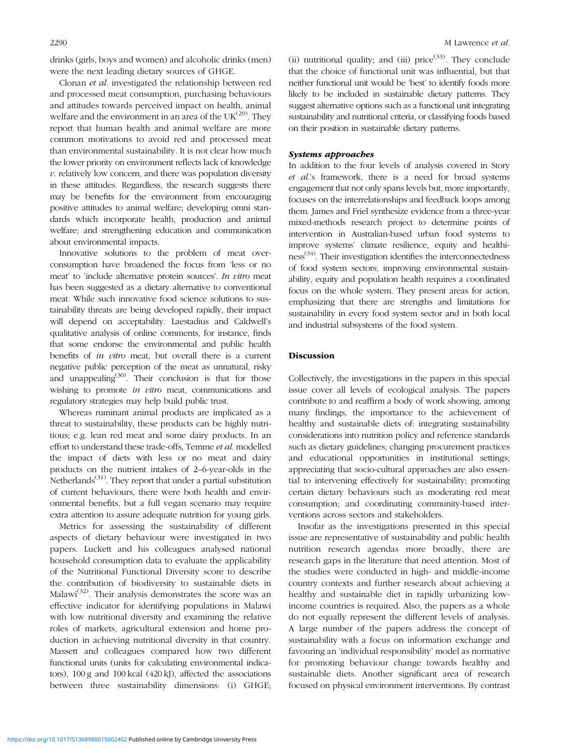drinks (girls, boys and women) and alcoholic drinks (men) were the next leading dietary sources of GHGE.

Clonan et al. investigated the relationship between red and processed meat consumption, purchasing behaviours and attitudes towards perceived impact on health, animal welfare and the environment in an area of the  $UK^{(29)}$  $UK^{(29)}$  $UK^{(29)}$ . They report that human health and animal welfare are more common motivations to avoid red and processed meat than environmental sustainability. It is not clear how much the lower priority on environment reflects lack of knowledge  $v$ . relatively low concern, and there was population diversity in these attitudes. Regardless, the research suggests there may be benefits for the environment from encouraging positive attitudes to animal welfare; developing omni standards which incorporate health, production and animal welfare; and strengthening education and communication about environmental impacts.

Innovative solutions to the problem of meat overconsumption have broadened the focus from 'less or no meat' to 'include alternative protein sources'. In vitro meat has been suggested as a dietary alternative to conventional meat. While such innovative food science solutions to sustainability threats are being developed rapidly, their impact will depend on acceptability. Laestadius and Caldwell's qualitative analysis of online comments, for instance, finds that some endorse the environmental and public health benefits of in vitro meat, but overall there is a current negative public perception of the meat as unnatural, risky and unappealing $(30)$ . Their conclusion is that for those wishing to promote *in vitro* meat, communications and regulatory strategies may help build public trust.

Whereas ruminant animal products are implicated as a threat to sustainability, these products can be highly nutritious; e.g. lean red meat and some dairy products. In an effort to understand these trade-offs, Temme et al. modelled the impact of diets with less or no meat and dairy products on the nutrient intakes of 2–6-year-olds in the Netherlands[\(31\)](#page-5-0). They report that under a partial substitution of current behaviours, there were both health and environmental benefits, but a full vegan scenario may require extra attention to assure adequate nutrition for young girls.

Metrics for assessing the sustainability of different aspects of dietary behaviour were investigated in two papers. Luckett and his colleagues analysed national household consumption data to evaluate the applicability of the Nutritional Functional Diversity score to describe the contribution of biodiversity to sustainable diets in Malawi<sup>([32\)](#page-5-0)</sup>. Their analysis demonstrates the score was an effective indicator for identifying populations in Malawi with low nutritional diversity and examining the relative roles of markets, agricultural extension and home production in achieving nutritional diversity in that country. Massett and colleagues compared how two different functional units (units for calculating environmental indicators), 100 g and 100 kcal (420 kJ), affected the associations between three sustainability dimensions: (i) GHGE; (ii) nutritional quality; and (iii)  $price^{(33)}$  $price^{(33)}$  $price^{(33)}$ . They conclude that the choice of functional unit was influential, but that neither functional unit would be 'best' to identify foods more likely to be included in sustainable dietary patterns. They suggest alternative options such as a functional unit integrating sustainability and nutritional criteria, or classifying foods based on their position in sustainable dietary patterns.

## Systems approaches

In addition to the four levels of analysis covered in Story et al.'s framework, there is a need for broad systems engagement that not only spans levels but, more importantly, focuses on the interrelationships and feedback loops among them. James and Friel synthesize evidence from a three-year mixed-methods research project to determine points of intervention in Australian-based urban food systems to improve systems' climate resilience, equity and healthi- $ness^{(34)}$  $ness^{(34)}$  $ness^{(34)}$ . Their investigation identifies the interconnectedness of food system sectors; improving environmental sustainability, equity and population health requires a coordinated focus on the whole system. They present areas for action, emphasizing that there are strengths and limitations for sustainability in every food system sector and in both local and industrial subsystems of the food system.

## Discussion

Collectively, the investigations in the papers in this special issue cover all levels of ecological analysis. The papers contribute to and reaffirm a body of work showing, among many findings, the importance to the achievement of healthy and sustainable diets of: integrating sustainability considerations into nutrition policy and reference standards such as dietary guidelines; changing procurement practices and educational opportunities in institutional settings; appreciating that socio-cultural approaches are also essential to intervening effectively for sustainability; promoting certain dietary behaviours such as moderating red meat consumption; and coordinating community-based interventions across sectors and stakeholders.

Insofar as the investigations presented in this special issue are representative of sustainability and public health nutrition research agendas more broadly, there are research gaps in the literature that need attention. Most of the studies were conducted in high- and middle-income country contexts and further research about achieving a healthy and sustainable diet in rapidly urbanizing lowincome countries is required. Also, the papers as a whole do not equally represent the different levels of analysis. A large number of the papers address the concept of sustainability with a focus on information exchange and favouring an 'individual responsibility' model as normative for promoting behaviour change towards healthy and sustainable diets. Another significant area of research focused on physical environment interventions. By contrast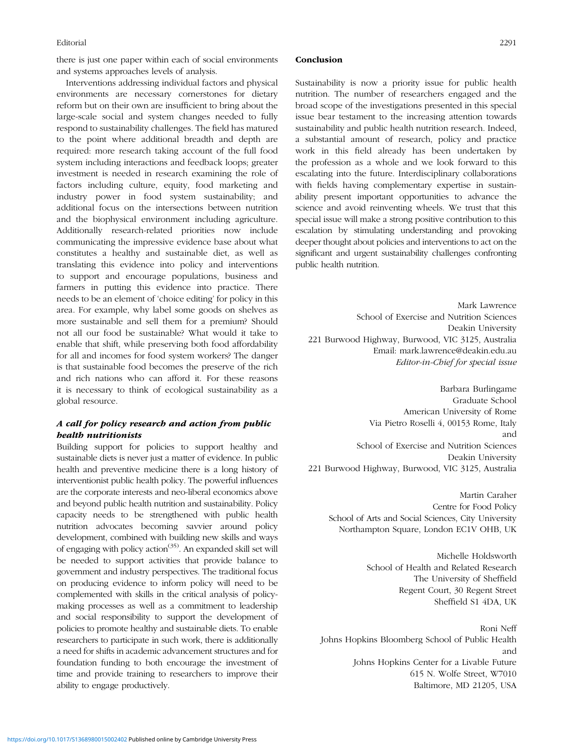there is just one paper within each of social environments and systems approaches levels of analysis.

Interventions addressing individual factors and physical environments are necessary cornerstones for dietary reform but on their own are insufficient to bring about the large-scale social and system changes needed to fully respond to sustainability challenges. The field has matured to the point where additional breadth and depth are required: more research taking account of the full food system including interactions and feedback loops; greater investment is needed in research examining the role of factors including culture, equity, food marketing and industry power in food system sustainability; and additional focus on the intersections between nutrition and the biophysical environment including agriculture. Additionally research-related priorities now include communicating the impressive evidence base about what constitutes a healthy and sustainable diet, as well as translating this evidence into policy and interventions to support and encourage populations, business and farmers in putting this evidence into practice. There needs to be an element of 'choice editing' for policy in this area. For example, why label some goods on shelves as more sustainable and sell them for a premium? Should not all our food be sustainable? What would it take to enable that shift, while preserving both food affordability for all and incomes for food system workers? The danger is that sustainable food becomes the preserve of the rich and rich nations who can afford it. For these reasons it is necessary to think of ecological sustainability as a global resource.

## A call for policy research and action from public health nutritionists

Building support for policies to support healthy and sustainable diets is never just a matter of evidence. In public health and preventive medicine there is a long history of interventionist public health policy. The powerful influences are the corporate interests and neo-liberal economics above and beyond public health nutrition and sustainability. Policy capacity needs to be strengthened with public health nutrition advocates becoming savvier around policy development, combined with building new skills and ways of engaging with policy action([35\)](#page-5-0). An expanded skill set will be needed to support activities that provide balance to government and industry perspectives. The traditional focus on producing evidence to inform policy will need to be complemented with skills in the critical analysis of policymaking processes as well as a commitment to leadership and social responsibility to support the development of policies to promote healthy and sustainable diets. To enable researchers to participate in such work, there is additionally a need for shifts in academic advancement structures and for foundation funding to both encourage the investment of time and provide training to researchers to improve their ability to engage productively.

## Conclusion

Sustainability is now a priority issue for public health nutrition. The number of researchers engaged and the broad scope of the investigations presented in this special issue bear testament to the increasing attention towards sustainability and public health nutrition research. Indeed, a substantial amount of research, policy and practice work in this field already has been undertaken by the profession as a whole and we look forward to this escalating into the future. Interdisciplinary collaborations with fields having complementary expertise in sustainability present important opportunities to advance the science and avoid reinventing wheels. We trust that this special issue will make a strong positive contribution to this escalation by stimulating understanding and provoking deeper thought about policies and interventions to act on the significant and urgent sustainability challenges confronting public health nutrition.

Mark Lawrence School of Exercise and Nutrition Sciences Deakin University 221 Burwood Highway, Burwood, VIC 3125, Australia Email: mark.lawrence@deakin.edu.au Editor-in-Chief for special issue

Barbara Burlingame Graduate School American University of Rome Via Pietro Roselli 4, 00153 Rome, Italy and School of Exercise and Nutrition Sciences Deakin University 221 Burwood Highway, Burwood, VIC 3125, Australia

Martin Caraher Centre for Food Policy School of Arts and Social Sciences, City University Northampton Square, London EC1V OHB, UK

> Michelle Holdsworth School of Health and Related Research The University of Sheffield Regent Court, 30 Regent Street Sheffield S1 4DA, UK

Roni Neff Johns Hopkins Bloomberg School of Public Health and Johns Hopkins Center for a Livable Future 615 N. Wolfe Street, W7010 Baltimore, MD 21205, USA